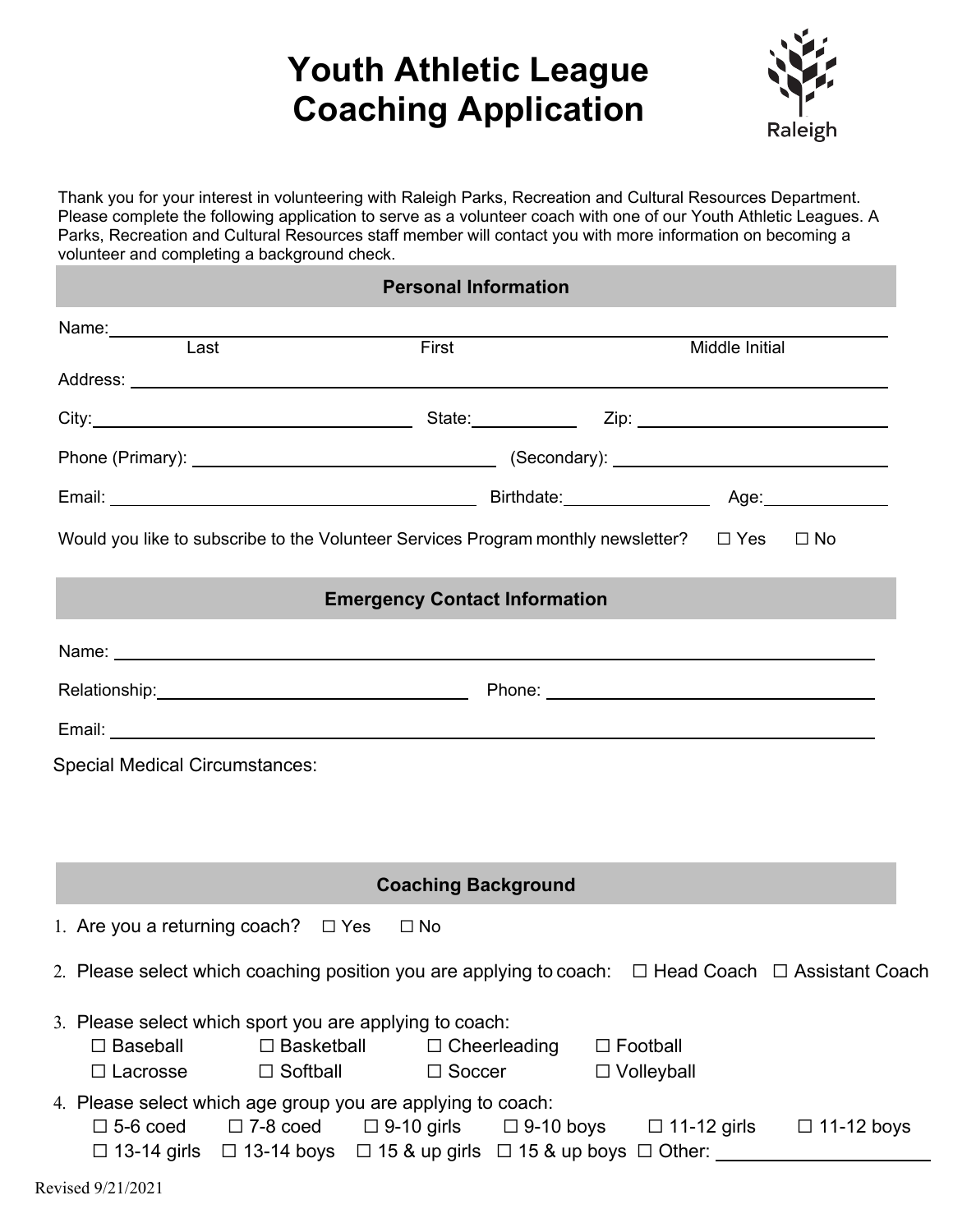# **Youth Athletic League Coaching Application**



Thank you for your interest in volunteering with Raleigh Parks, Recreation and Cultural Resources Department. Please complete the following application to serve as a volunteer coach with one of our Youth Athletic Leagues. A Parks, Recreation and Cultural Resources staff member will contact you with more information on becoming a volunteer and completing a background check.

| <b>Personal Information</b>                                                                                    |                                                                                                                                                                                        |                                      |                                      |                |  |
|----------------------------------------------------------------------------------------------------------------|----------------------------------------------------------------------------------------------------------------------------------------------------------------------------------------|--------------------------------------|--------------------------------------|----------------|--|
| Name: $\frac{1}{2}$                                                                                            |                                                                                                                                                                                        |                                      |                                      |                |  |
| Last                                                                                                           |                                                                                                                                                                                        | First                                |                                      | Middle Initial |  |
|                                                                                                                |                                                                                                                                                                                        |                                      |                                      |                |  |
| City: 2008. City: 2008. City: 2008. City: 2008. City: 2008. 2009. 2009. 2009. 2009. 2009. 2009. 2009. 2009. 20 |                                                                                                                                                                                        |                                      |                                      |                |  |
|                                                                                                                |                                                                                                                                                                                        |                                      |                                      |                |  |
|                                                                                                                |                                                                                                                                                                                        |                                      |                                      |                |  |
| Would you like to subscribe to the Volunteer Services Program monthly newsletter? $\square$ Yes $\square$ No   |                                                                                                                                                                                        |                                      |                                      |                |  |
|                                                                                                                |                                                                                                                                                                                        | <b>Emergency Contact Information</b> |                                      |                |  |
|                                                                                                                |                                                                                                                                                                                        |                                      |                                      |                |  |
| Relationship: Nelationship: Nelationship: Nelationship: Nelationship: Nelationship: Nelationship: Nelationship |                                                                                                                                                                                        |                                      |                                      |                |  |
|                                                                                                                |                                                                                                                                                                                        |                                      |                                      |                |  |
|                                                                                                                |                                                                                                                                                                                        | <b>Coaching Background</b>           |                                      |                |  |
| 1. Are you a returning coach? $\Box$ Yes                                                                       |                                                                                                                                                                                        | $\square$ No                         |                                      |                |  |
| 2. Please select which coaching position you are applying to coach: $\Box$ Head Coach $\Box$ Assistant Coach   |                                                                                                                                                                                        |                                      |                                      |                |  |
| 3. Please select which sport you are applying to coach:<br>$\Box$ Baseball<br>$\Box$ Lacrosse                  | $\Box$ Basketball $\Box$ Cheerleading<br>$\Box$ Softball                                                                                                                               | $\Box$ Soccer                        | $\Box$ Football<br>$\Box$ Volleyball |                |  |
| 4. Please select which age group you are applying to coach:<br>$\square$ 5-6 coed                              | $\Box$ 7-8 coed $\Box$ 9-10 girls $\Box$ 9-10 boys $\Box$ 11-12 girls $\Box$ 11-12 boys<br>$\Box$ 13-14 girls $\Box$ 13-14 boys $\Box$ 15 & up girls $\Box$ 15 & up boys $\Box$ Other: |                                      |                                      |                |  |
| Revised 9/21/2021                                                                                              |                                                                                                                                                                                        |                                      |                                      |                |  |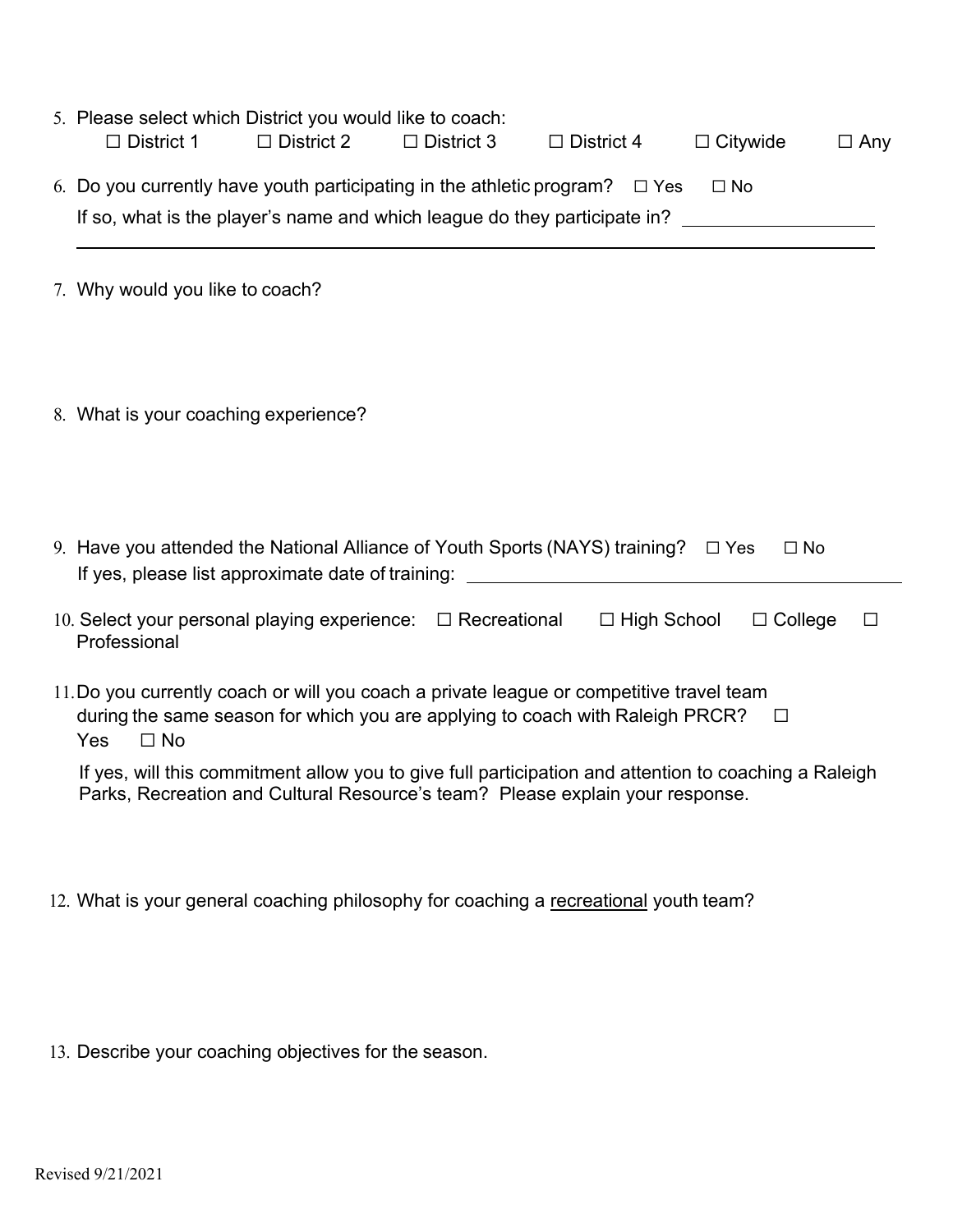| 5. Please select which District you would like to coach:<br>$\Box$ District 2<br>$\Box$ District 3<br>$\Box$ District 1<br>$\Box$ Citywide<br>$\Box$ District 4<br>$\Box$ Any                         |  |  |  |  |  |
|-------------------------------------------------------------------------------------------------------------------------------------------------------------------------------------------------------|--|--|--|--|--|
| 6. Do you currently have youth participating in the athletic program? $\Box$ Yes<br>$\square$ No<br>If so, what is the player's name and which league do they participate in?                         |  |  |  |  |  |
| 7. Why would you like to coach?                                                                                                                                                                       |  |  |  |  |  |
| 8. What is your coaching experience?                                                                                                                                                                  |  |  |  |  |  |
| 9. Have you attended the National Alliance of Youth Sports (NAYS) training? $\square$ Yes<br>$\Box$ No<br>If yes, please list approximate date of training: ______________________________            |  |  |  |  |  |
| 10. Select your personal playing experience: $\Box$ Recreational<br>$\Box$ High School<br>$\Box$ College<br>⊔<br>Professional                                                                         |  |  |  |  |  |
| 11. Do you currently coach or will you coach a private league or competitive travel team<br>during the same season for which you are applying to coach with Raleigh PRCR?<br>⊔<br>$\square$ No<br>Yes |  |  |  |  |  |
| If yes, will this commitment allow you to give full participation and attention to coaching a Raleigh<br>Parks, Recreation and Cultural Resource's team? Please explain your response.                |  |  |  |  |  |

12. What is your general coaching philosophy for coaching a recreational youth team?

13. Describe your coaching objectives for the season.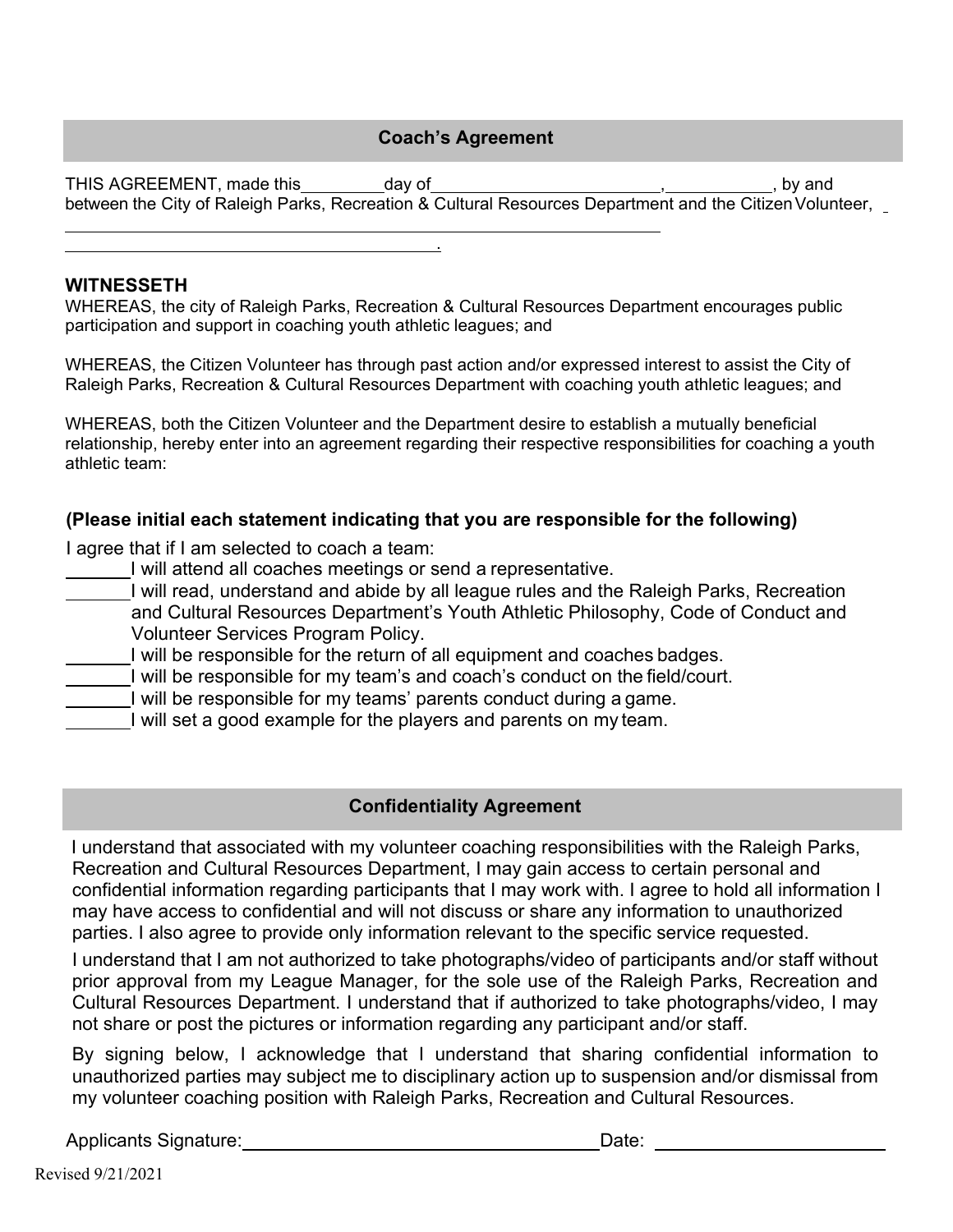#### **Coach's Agreement**

THIS AGREEMENT, made this day of the state of the state of the state of  $\sim$  , by and between the City of Raleigh Parks, Recreation & Cultural Resources Department and the Citizen Volunteer,

## **WITNESSETH**

WHEREAS, the city of Raleigh Parks, Recreation & Cultural Resources Department encourages public participation and support in coaching youth athletic leagues; and

.

WHEREAS, the Citizen Volunteer has through past action and/or expressed interest to assist the City of Raleigh Parks, Recreation & Cultural Resources Department with coaching youth athletic leagues; and

WHEREAS, both the Citizen Volunteer and the Department desire to establish a mutually beneficial relationship, hereby enter into an agreement regarding their respective responsibilities for coaching a youth athletic team:

### **(Please initial each statement indicating that you are responsible for the following)**

I agree that if I am selected to coach a team:

- I will attend all coaches meetings or send a representative.
- I will read, understand and abide by all league rules and the Raleigh Parks, Recreation and Cultural Resources Department's Youth Athletic Philosophy, Code of Conduct and Volunteer Services Program Policy.
- I will be responsible for the return of all equipment and coaches badges.
- I will be responsible for my team's and coach's conduct on the field/court.
	- I will be responsible for my teams' parents conduct during a game.
	- I will set a good example for the players and parents on my team.

# **Confidentiality Agreement**

I understand that associated with my volunteer coaching responsibilities with the Raleigh Parks, Recreation and Cultural Resources Department, I may gain access to certain personal and confidential information regarding participants that I may work with. I agree to hold all information I may have access to confidential and will not discuss or share any information to unauthorized parties. I also agree to provide only information relevant to the specific service requested.

I understand that I am not authorized to take photographs/video of participants and/or staff without prior approval from my League Manager, for the sole use of the Raleigh Parks, Recreation and Cultural Resources Department. I understand that if authorized to take photographs/video, I may not share or post the pictures or information regarding any participant and/or staff.

By signing below, I acknowledge that I understand that sharing confidential information to unauthorized parties may subject me to disciplinary action up to suspension and/or dismissal from my volunteer coaching position with Raleigh Parks, Recreation and Cultural Resources.

Applicants Signature: Date: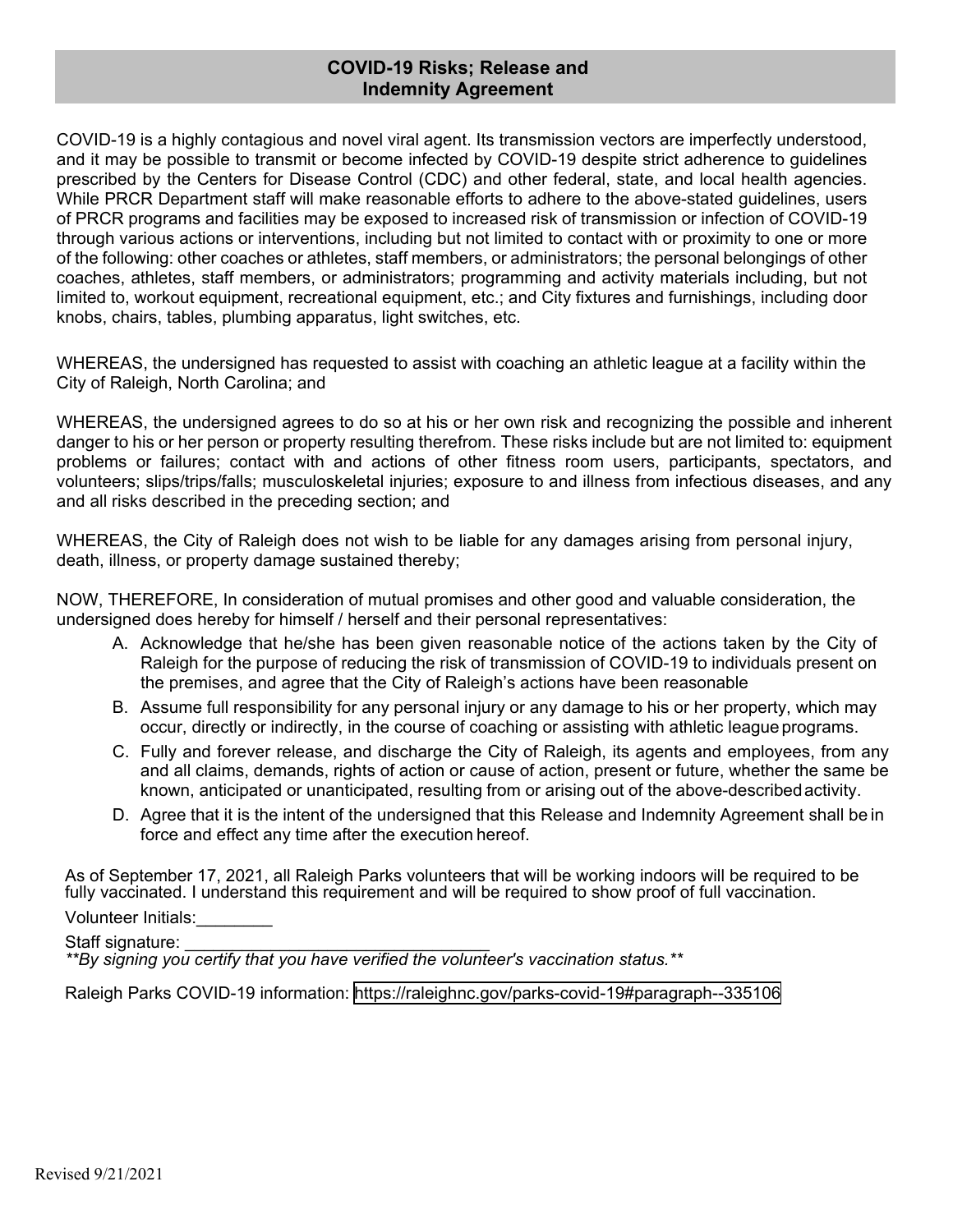#### **COVID-19 Risks; Release and Indemnity Agreement**

COVID-19 is a highly contagious and novel viral agent. Its transmission vectors are imperfectly understood, and it may be possible to transmit or become infected by COVID-19 despite strict adherence to guidelines prescribed by the Centers for Disease Control (CDC) and other federal, state, and local health agencies. While PRCR Department staff will make reasonable efforts to adhere to the above-stated guidelines, users of PRCR programs and facilities may be exposed to increased risk of transmission or infection of COVID-19 through various actions or interventions, including but not limited to contact with or proximity to one or more of the following: other coaches or athletes, staff members, or administrators; the personal belongings of other coaches, athletes, staff members, or administrators; programming and activity materials including, but not limited to, workout equipment, recreational equipment, etc.; and City fixtures and furnishings, including door knobs, chairs, tables, plumbing apparatus, light switches, etc.

WHEREAS, the undersigned has requested to assist with coaching an athletic league at a facility within the City of Raleigh, North Carolina; and

WHEREAS, the undersigned agrees to do so at his or her own risk and recognizing the possible and inherent danger to his or her person or property resulting therefrom. These risks include but are not limited to: equipment problems or failures; contact with and actions of other fitness room users, participants, spectators, and volunteers; slips/trips/falls; musculoskeletal injuries; exposure to and illness from infectious diseases, and any and all risks described in the preceding section; and

WHEREAS, the City of Raleigh does not wish to be liable for any damages arising from personal injury, death, illness, or property damage sustained thereby;

NOW, THEREFORE, In consideration of mutual promises and other good and valuable consideration, the undersigned does hereby for himself / herself and their personal representatives:

- A. Acknowledge that he/she has been given reasonable notice of the actions taken by the City of Raleigh for the purpose of reducing the risk of transmission of COVID-19 to individuals present on the premises, and agree that the City of Raleigh's actions have been reasonable
- B. Assume full responsibility for any personal injury or any damage to his or her property, which may occur, directly or indirectly, in the course of coaching or assisting with athletic league programs.
- C. Fully and forever release, and discharge the City of Raleigh, its agents and employees, from any and all claims, demands, rights of action or cause of action, present or future, whether the same be known, anticipated or unanticipated, resulting from or arising out of the above-described activity.
- D. Agree that it is the intent of the undersigned that this Release and Indemnity Agreement shall be in force and effect any time after the execution hereof.

As of September 17, 2021, all Raleigh Parks volunteers that will be working indoors will be required to be fully vaccinated. I understand this requirement and will be required to show proof of full vaccination.

Volunteer Initials:

Staff signature:

*\*\*By signing you certify that you have verified the volunteer's vaccination status.\*\**

Raleigh Parks COVID-19 information: <https://raleighnc.gov/parks-covid-19#paragraph--335106>